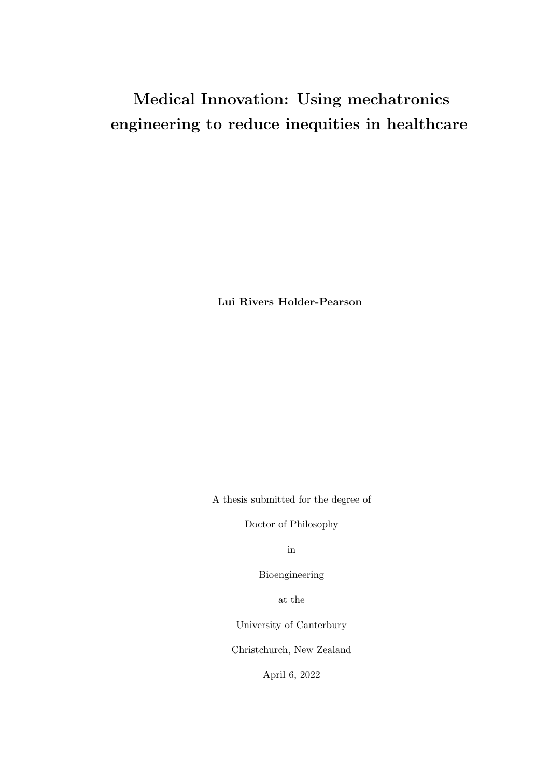### Medical Innovation: Using mechatronics engineering to reduce inequities in healthcare

Lui Rivers Holder-Pearson

A thesis submitted for the degree of

Doctor of Philosophy

in

Bioengineering

at the

University of Canterbury

Christchurch, New Zealand

April 6, 2022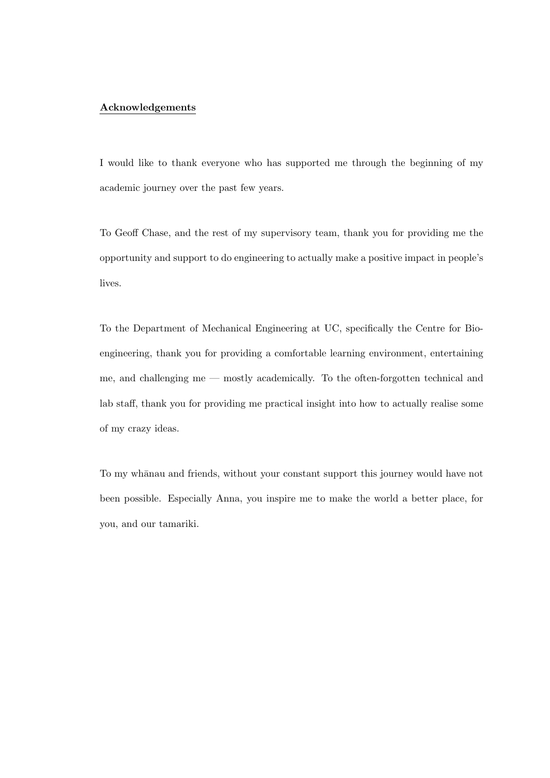#### Acknowledgements

I would like to thank everyone who has supported me through the beginning of my academic journey over the past few years.

To Geoff Chase, and the rest of my supervisory team, thank you for providing me the opportunity and support to do engineering to actually make a positive impact in people's lives.

To the Department of Mechanical Engineering at UC, specifically the Centre for Bioengineering, thank you for providing a comfortable learning environment, entertaining me, and challenging me — mostly academically. To the often-forgotten technical and lab staff, thank you for providing me practical insight into how to actually realise some of my crazy ideas.

To my wh¯anau and friends, without your constant support this journey would have not been possible. Especially Anna, you inspire me to make the world a better place, for you, and our tamariki.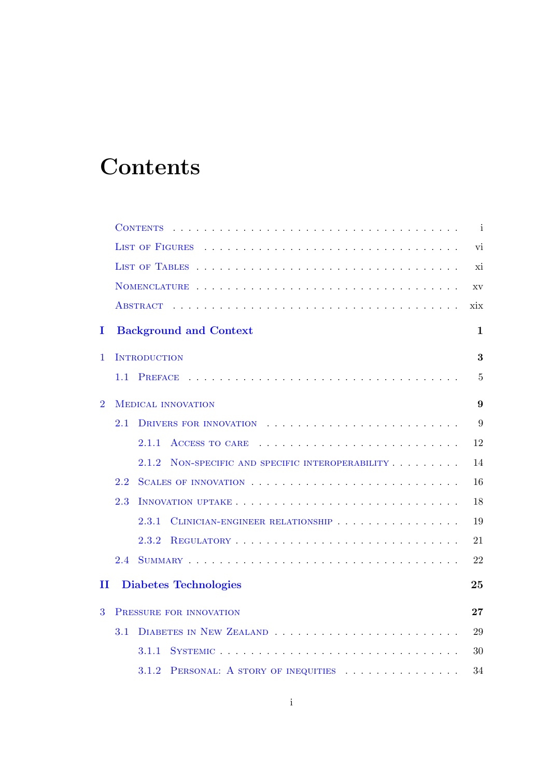## **Contents**

|                |     | <b>CONTENTS</b>                                     | j.             |  |  |  |  |  |
|----------------|-----|-----------------------------------------------------|----------------|--|--|--|--|--|
|                |     | <b>LIST OF FIGURES</b>                              | vi             |  |  |  |  |  |
|                |     |                                                     |                |  |  |  |  |  |
|                |     |                                                     |                |  |  |  |  |  |
|                |     | <b>ABSTRACT</b>                                     | xix            |  |  |  |  |  |
| I              |     | <b>Background and Context</b>                       | $\mathbf{1}$   |  |  |  |  |  |
| $\mathbf{1}$   |     | <b>INTRODUCTION</b>                                 | 3              |  |  |  |  |  |
|                | 1.1 |                                                     | $\overline{5}$ |  |  |  |  |  |
| $\overline{2}$ |     | <b>MEDICAL INNOVATION</b>                           | 9              |  |  |  |  |  |
|                | 2.1 |                                                     | 9              |  |  |  |  |  |
|                |     | 2.1.1<br>ACCESS TO CARE                             | 12             |  |  |  |  |  |
|                |     | 2.1.2<br>NON-SPECIFIC AND SPECIFIC INTEROPERABILITY | 14             |  |  |  |  |  |
|                | 2.2 |                                                     | 16             |  |  |  |  |  |
|                | 2.3 |                                                     | 18             |  |  |  |  |  |
|                |     | CLINICIAN-ENGINEER RELATIONSHIP<br>2.3.1            | 19             |  |  |  |  |  |
|                |     | 2.3.2                                               | 21             |  |  |  |  |  |
|                | 2.4 |                                                     | 22             |  |  |  |  |  |
| п              |     | <b>Diabetes Technologies</b>                        | 25             |  |  |  |  |  |
| 3              |     | PRESSURE FOR INNOVATION                             | 27             |  |  |  |  |  |
|                | 3.1 |                                                     | 29             |  |  |  |  |  |
|                |     | SYSTEMIC<br>3.1.1                                   | 30             |  |  |  |  |  |
|                |     | 3.1.2<br>PERSONAL: A STORY OF INEQUITIES            | 34             |  |  |  |  |  |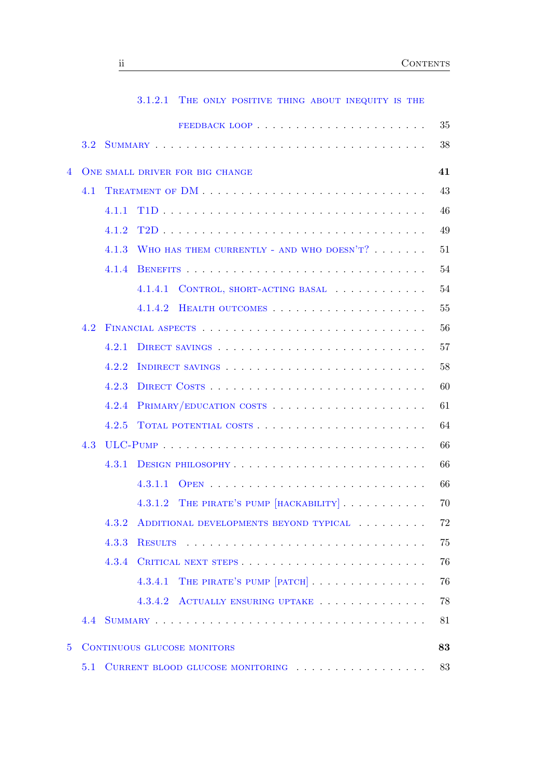|                  |            | 3.1.2.1<br>THE ONLY POSITIVE THING ABOUT INEQUITY IS THE |
|------------------|------------|----------------------------------------------------------|
|                  |            |                                                          |
| 3.2 <sub>1</sub> |            |                                                          |
|                  |            | 41<br>ONE SMALL DRIVER FOR BIG CHANGE                    |
|                  |            |                                                          |
|                  |            |                                                          |
|                  |            |                                                          |
|                  |            |                                                          |
|                  |            | WHO HAS THEM CURRENTLY - AND WHO DOESN'T?                |
|                  |            |                                                          |
|                  |            | 4.1.4.1<br>CONTROL, SHORT-ACTING BASAL                   |
|                  |            | 4.1.4.2                                                  |
|                  |            |                                                          |
|                  |            |                                                          |
|                  |            |                                                          |
|                  | 4.2.3      |                                                          |
|                  | 4.2.4      |                                                          |
|                  | 4.2.5      | TOTAL POTENTIAL COSTS                                    |
| 4.3              |            |                                                          |
|                  | 4.3.1      |                                                          |
|                  |            | 4.3.1.1                                                  |
|                  |            | THE PIRATE'S PUMP [HACKABILITY]<br>4.3.1.2               |
|                  | 4.3.2      | ADDITIONAL DEVELOPMENTS BEYOND TYPICAL                   |
|                  | 4.3.3      | <b>RESULTS</b>                                           |
|                  | 4.3.4      |                                                          |
|                  |            | THE PIRATE'S PUMP [PATCH]<br>4.3.4.1                     |
|                  |            | 4.3.4.2 ACTUALLY ENSURING UPTAKE                         |
|                  |            |                                                          |
|                  |            | 83<br>CONTINUOUS GLUCOSE MONITORS                        |
| 5.1              |            | CURRENT BLOOD GLUCOSE MONITORING                         |
|                  | 4.1<br>4.2 | 4.1.1<br>4.1.2<br>4.1.3<br>4.1.4<br>4.2.1<br>4.2.2       |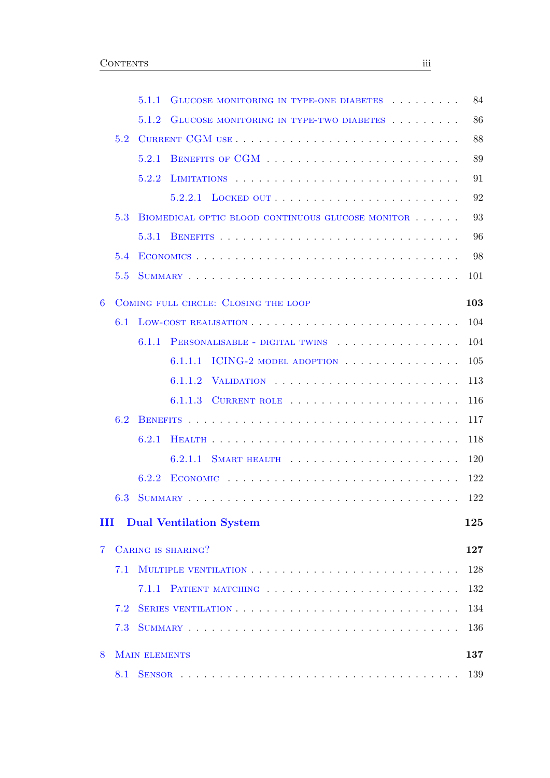|   |     | 5.1.1<br>GLUCOSE MONITORING IN TYPE-ONE DIABETES  | 84  |
|---|-----|---------------------------------------------------|-----|
|   |     | 5.1.2<br>GLUCOSE MONITORING IN TYPE-TWO DIABETES  | 86  |
|   | 5.2 |                                                   | 88  |
|   |     | 5.2.1                                             | 89  |
|   |     | 5.2.2                                             | 91  |
|   |     | 5.2.2.1                                           | 92  |
|   | 5.3 | BIOMEDICAL OPTIC BLOOD CONTINUOUS GLUCOSE MONITOR | 93  |
|   |     | 5.3.1                                             | 96  |
|   | 5.4 |                                                   | 98  |
|   | 5.5 |                                                   | 101 |
| 6 |     | COMING FULL CIRCLE: CLOSING THE LOOP              | 103 |
|   | 6.1 |                                                   | 104 |
|   |     | 6.1.1<br>PERSONALISABLE - DIGITAL TWINS           | 104 |
|   |     | ICING-2 MODEL ADOPTION<br>6.1.1.1                 | 105 |
|   |     | 6.1.1.2<br>VALIDATION,                            | 113 |
|   |     | 6.1.1.3                                           | 116 |
|   | 6.2 |                                                   | 117 |
|   |     | 6.2.1                                             | 118 |
|   |     | 6.2.1.1                                           | 120 |
|   |     | 6.2.2                                             | 122 |
|   | 6.3 |                                                   | 122 |
| Ш |     | <b>Dual Ventilation System</b>                    | 125 |
| 7 |     | CARING IS SHARING?                                | 127 |
|   | 7.1 |                                                   | 128 |
|   |     | 7.1.1                                             | 132 |
|   | 7.2 |                                                   | 134 |
|   | 7.3 |                                                   | 136 |
| 8 |     | <b>MAIN ELEMENTS</b>                              | 137 |
|   | 8.1 |                                                   | 139 |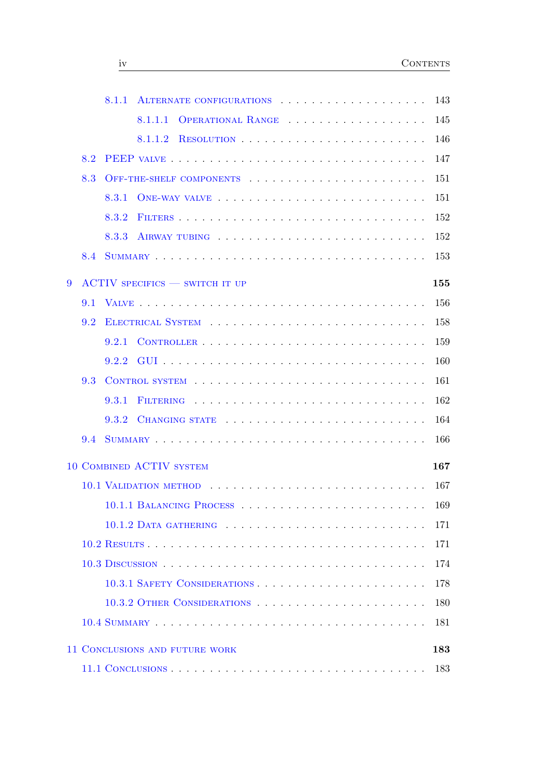|   |     | 8.1.1 |                                       |                   |  |  |  |  |  |  | 143 |
|---|-----|-------|---------------------------------------|-------------------|--|--|--|--|--|--|-----|
|   |     |       | 8.1.1.1                               | OPERATIONAL RANGE |  |  |  |  |  |  | 145 |
|   |     |       | 8.1.1.2                               |                   |  |  |  |  |  |  | 146 |
|   | 8.2 |       |                                       |                   |  |  |  |  |  |  | 147 |
|   | 8.3 |       | OFF-THE-SHELF COMPONENTS              |                   |  |  |  |  |  |  | 151 |
|   |     | 8.3.1 |                                       |                   |  |  |  |  |  |  | 151 |
|   |     | 8.3.2 |                                       |                   |  |  |  |  |  |  | 152 |
|   |     | 8.3.3 |                                       |                   |  |  |  |  |  |  | 152 |
|   | 8.4 |       |                                       |                   |  |  |  |  |  |  | 153 |
| 9 |     |       | <b>ACTIV SPECIFICS - SWITCH IT UP</b> |                   |  |  |  |  |  |  | 155 |
|   | 9.1 |       |                                       |                   |  |  |  |  |  |  | 156 |
|   | 9.2 |       |                                       |                   |  |  |  |  |  |  | 158 |
|   |     | 9.2.1 |                                       |                   |  |  |  |  |  |  | 159 |
|   |     | 9.2.2 |                                       |                   |  |  |  |  |  |  | 160 |
|   | 9.3 |       | CONTROL SYSTEM                        |                   |  |  |  |  |  |  | 161 |
|   |     | 9.3.1 |                                       |                   |  |  |  |  |  |  | 162 |
|   |     | 9.3.2 | CHANGING STATE                        |                   |  |  |  |  |  |  | 164 |
|   | 9.4 |       |                                       |                   |  |  |  |  |  |  | 166 |
|   |     |       | 10 COMBINED ACTIV SYSTEM              |                   |  |  |  |  |  |  | 167 |
|   |     |       |                                       |                   |  |  |  |  |  |  | 167 |
|   |     |       |                                       |                   |  |  |  |  |  |  | 169 |
|   |     |       |                                       |                   |  |  |  |  |  |  | 171 |
|   |     |       |                                       |                   |  |  |  |  |  |  | 171 |
|   |     |       |                                       |                   |  |  |  |  |  |  | 174 |
|   |     |       | 10.3.1 SAFETY CONSIDERATIONS          |                   |  |  |  |  |  |  | 178 |
|   |     |       |                                       |                   |  |  |  |  |  |  | 180 |
|   |     |       |                                       |                   |  |  |  |  |  |  | 181 |
|   |     |       |                                       |                   |  |  |  |  |  |  |     |
|   |     |       | 11 CONCLUSIONS AND FUTURE WORK        |                   |  |  |  |  |  |  | 183 |
|   |     |       |                                       |                   |  |  |  |  |  |  | 183 |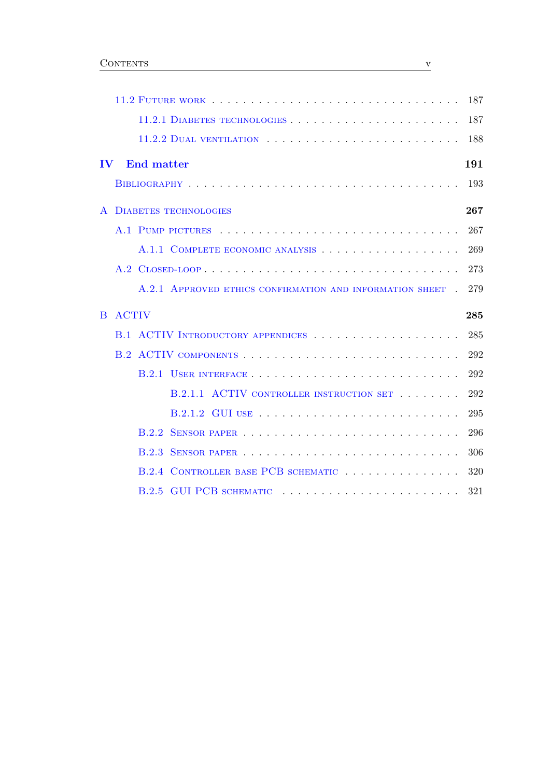|                                                          | 187 |
|----------------------------------------------------------|-----|
| 11.2.1 DIABETES TECHNOLOGIES                             | 187 |
|                                                          | 188 |
| $\bf{IV}$<br><b>End matter</b>                           | 191 |
|                                                          | 193 |
| <b>DIABETES TECHNOLOGIES</b>                             | 267 |
|                                                          | 267 |
| A.1.1 COMPLETE ECONOMIC ANALYSIS                         | 269 |
|                                                          | 273 |
| A.2.1 APPROVED ETHICS CONFIRMATION AND INFORMATION SHEET | 279 |
| <b>ACTIV</b><br>B                                        | 285 |
|                                                          | 285 |
|                                                          | 292 |
|                                                          | 292 |
| B.2.1.1 ACTIV CONTROLLER INSTRUCTION SET                 | 292 |
|                                                          | 295 |
| B.2.2                                                    | 296 |
| <b>B.2.3</b>                                             | 306 |
| CONTROLLER BASE PCB SCHEMATIC<br><b>B.2.4</b>            | 320 |
|                                                          | 321 |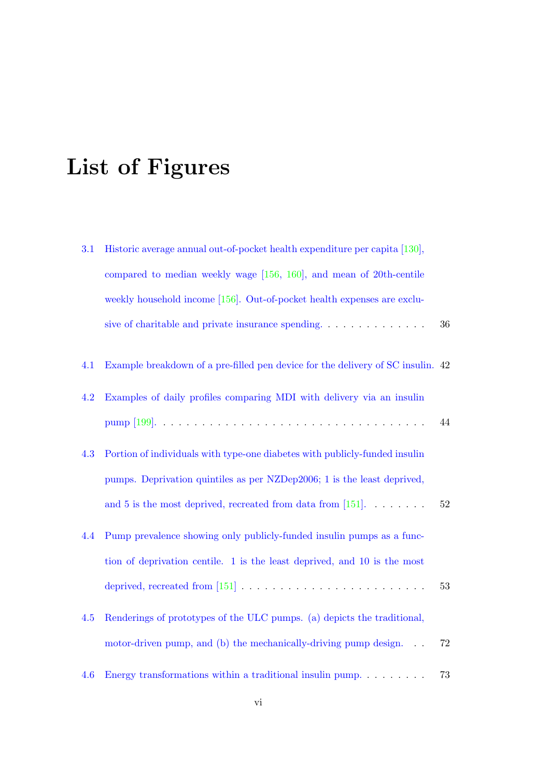## List of Figures

| 3.1 | Historic average annual out-of-pocket health expenditure per capita [130],               |    |
|-----|------------------------------------------------------------------------------------------|----|
|     | compared to median weekly wage [156, 160], and mean of 20th-centile                      |    |
|     | weekly household income [156]. Out-of-pocket health expenses are exclu-                  |    |
|     | sive of charitable and private insurance spending. $\dots \dots \dots \dots$             | 36 |
| 4.1 | Example breakdown of a pre-filled pen device for the delivery of SC insulin. 42          |    |
| 4.2 | Examples of daily profiles comparing MDI with delivery via an insulin                    |    |
|     |                                                                                          | 44 |
| 4.3 | Portion of individuals with type-one diabetes with publicly-funded insulin               |    |
|     | pumps. Deprivation quintiles as per NZDep2006; 1 is the least deprived,                  |    |
|     | and 5 is the most deprived, recreated from data from [151]. $\dots$                      | 52 |
| 4.4 | Pump prevalence showing only publicly-funded insulin pumps as a func-                    |    |
|     | tion of deprivation centile. 1 is the least deprived, and 10 is the most                 |    |
|     | deprived, recreated from [151] $\ldots \ldots \ldots \ldots \ldots \ldots \ldots \ldots$ | 53 |
| 4.5 | Renderings of prototypes of the ULC pumps. (a) depicts the traditional,                  |    |
|     | motor-driven pump, and (b) the mechanically-driving pump design. $\ldots$                | 72 |
| 4.6 | Energy transformations within a traditional insulin pump. $\dots \dots$                  | 73 |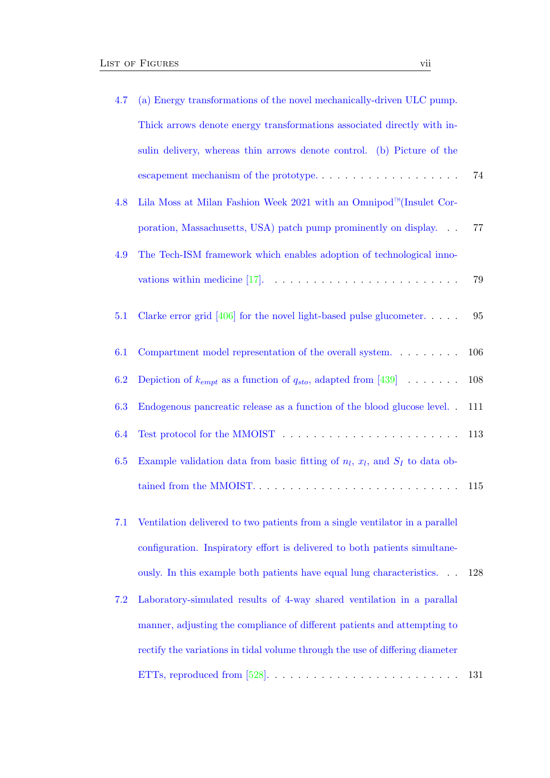| 4.7 | (a) Energy transformations of the novel mechanically-driven ULC pump.                   |     |
|-----|-----------------------------------------------------------------------------------------|-----|
|     | Thick arrows denote energy transformations associated directly with in-                 |     |
|     | sulin delivery, whereas thin arrows denote control. (b) Picture of the                  |     |
|     | escapement mechanism of the prototype. $\dots \dots \dots \dots \dots \dots \dots$      | 74  |
| 4.8 | Lila Moss at Milan Fashion Week 2021 with an Omnipod <sup>™</sup> (Insulet Cor-         |     |
|     | poration, Massachusetts, USA) patch pump prominently on display.                        | 77  |
| 4.9 | The Tech-ISM framework which enables adoption of technological inno-                    |     |
|     | vations within medicine [17]. $\ldots \ldots \ldots \ldots \ldots \ldots \ldots \ldots$ | 79  |
| 5.1 | Clarke error grid [406] for the novel light-based pulse glucometer. $\ldots$ .          | 95  |
| 6.1 | Compartment model representation of the overall system. $\dots \dots$                   | 106 |
| 6.2 | Depiction of $k_{empt}$ as a function of $q_{sto}$ , adapted from [439]                 | 108 |
| 6.3 | Endogenous pancreatic release as a function of the blood glucose level                  | 111 |
| 6.4 |                                                                                         | 113 |
| 6.5 | Example validation data from basic fitting of $n_l$ , $x_l$ , and $S_I$ to data ob-     |     |
|     | tained from the MMOIST.                                                                 | 115 |
| 7.1 | Ventilation delivered to two patients from a single ventilator in a parallel            |     |
|     | configuration. Inspiratory effort is delivered to both patients simultane-              |     |
|     | ously. In this example both patients have equal lung characteristics. $\ldots$          | 128 |
| 7.2 | Laboratory-simulated results of 4-way shared ventilation in a parallal                  |     |
|     | manner, adjusting the compliance of different patients and attempting to                |     |
|     | rectify the variations in tidal volume through the use of differing diameter            |     |
|     | ETTs, reproduced from [528]. $\dots \dots \dots \dots \dots \dots$                      | 131 |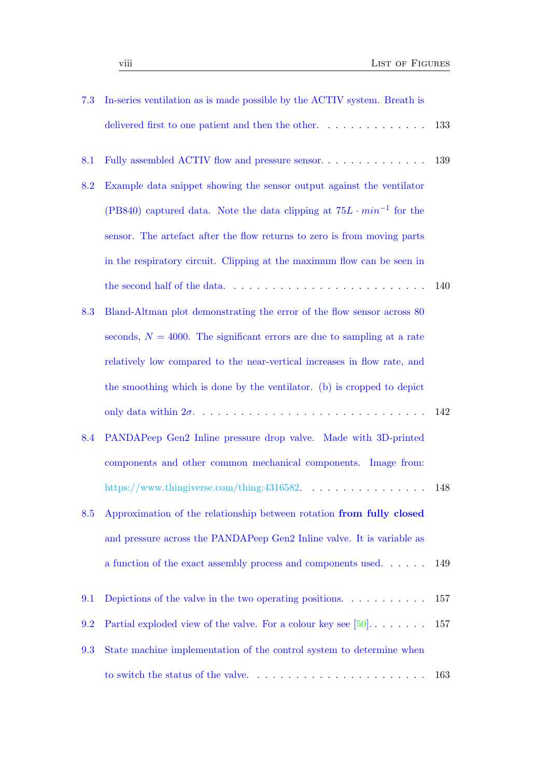| 7.3 | In-series ventilation as is made possible by the ACTIV system. Breath is       |     |
|-----|--------------------------------------------------------------------------------|-----|
|     | delivered first to one patient and then the other. $\dots \dots \dots \dots$   | 133 |
| 8.1 | Fully assembled ACTIV flow and pressure sensor                                 | 139 |
| 8.2 | Example data snippet showing the sensor output against the ventilator          |     |
|     | (PB840) captured data. Note the data clipping at $75L \cdot min^{-1}$ for the  |     |
|     | sensor. The artefact after the flow returns to zero is from moving parts       |     |
|     | in the respiratory circuit. Clipping at the maximum flow can be seen in        |     |
|     |                                                                                | 140 |
| 8.3 | Bland-Altman plot demonstrating the error of the flow sensor across 80         |     |
|     | seconds, $N = 4000$ . The significant errors are due to sampling at a rate     |     |
|     | relatively low compared to the near-vertical increases in flow rate, and       |     |
|     | the smoothing which is done by the ventilator. (b) is cropped to depict        |     |
|     |                                                                                | 142 |
| 8.4 | PANDAPeep Gen2 Inline pressure drop valve. Made with 3D-printed                |     |
|     | components and other common mechanical components. Image from:                 |     |
|     |                                                                                | 148 |
| 8.5 | Approximation of the relationship between rotation from fully closed           |     |
|     | and pressure across the PANDAPeep Gen2 Inline valve. It is variable as         |     |
|     | a function of the exact assembly process and components used. $\dots$ .        | 149 |
| 9.1 | Depictions of the valve in the two operating positions. $\ldots \ldots \ldots$ | 157 |
| 9.2 | Partial exploded view of the valve. For a colour key see $[50]$                | 157 |
| 9.3 | State machine implementation of the control system to determine when           |     |
|     |                                                                                | 163 |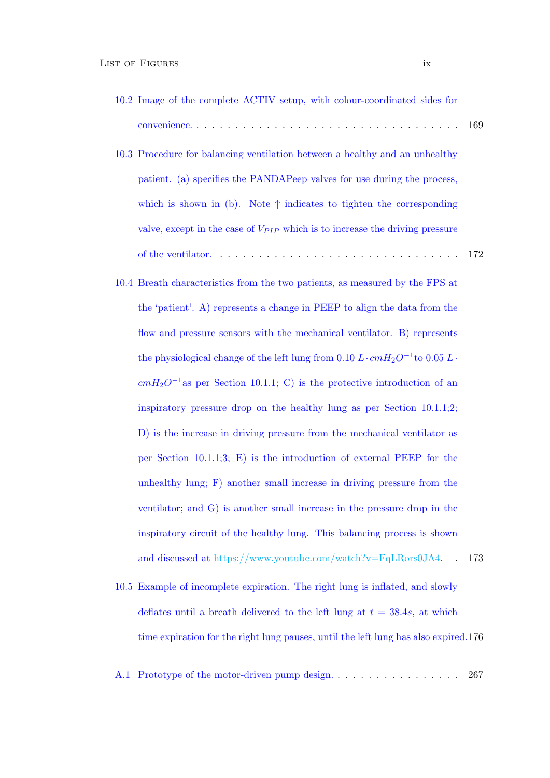- 10.2 Image of the complete ACTIV setup, with colour-coordinated sides for convenience. . . . . . . . . . . . . . . . . . . . . . . . . . . . . . . . . . . 169
- 10.3 Procedure for balancing ventilation between a healthy and an unhealthy patient. (a) specifies the PANDAPeep valves for use during the process, which is shown in (b). Note  $\uparrow$  indicates to tighten the corresponding valve, except in the case of  $V_{PIP}$  which is to increase the driving pressure of the ventilator. . . . . . . . . . . . . . . . . . . . . . . . . . . . . . . . 172
- 10.4 Breath characteristics from the two patients, as measured by the FPS at the 'patient'. A) represents a change in PEEP to align the data from the flow and pressure sensors with the mechanical ventilator. B) represents the physiological change of the left lung from  $0.10 L \cdot cmH_2O^{-1}$  to  $0.05 L \cdot$  $cmH_2O^{-1}$ as per Section 10.1.1; C) is the protective introduction of an inspiratory pressure drop on the healthy lung as per Section 10.1.1;2; D) is the increase in driving pressure from the mechanical ventilator as per Section 10.1.1;3; E) is the introduction of external PEEP for the unhealthy lung; F) another small increase in driving pressure from the ventilator; and G) is another small increase in the pressure drop in the inspiratory circuit of the healthy lung. This balancing process is shown and discussed at https://www.youtube.com/watch?v=FqLRors0JA4. . 173
- 10.5 Example of incomplete expiration. The right lung is inflated, and slowly deflates until a breath delivered to the left lung at  $t = 38.4s$ , at which time expiration for the right lung pauses, until the left lung has also expired.176
- A.1 Prototype of the motor-driven pump design. . . . . . . . . . . . . . . . . 267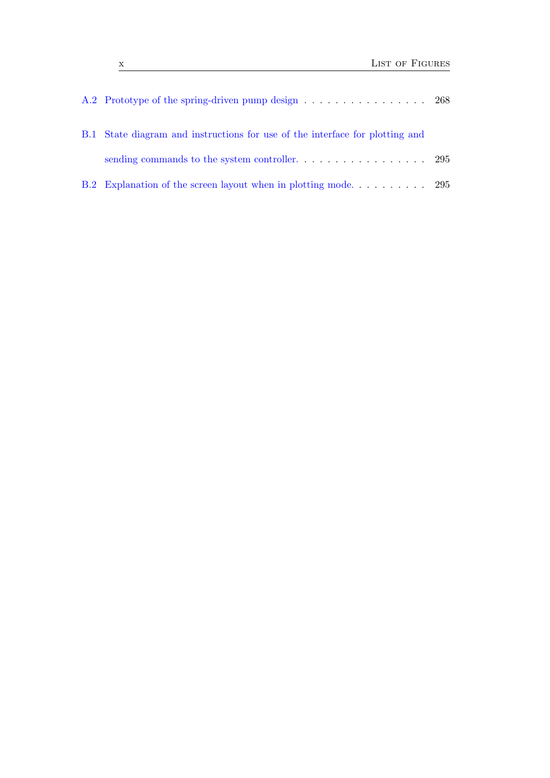| B.1 State diagram and instructions for use of the interface for plotting and |  |
|------------------------------------------------------------------------------|--|
|                                                                              |  |
|                                                                              |  |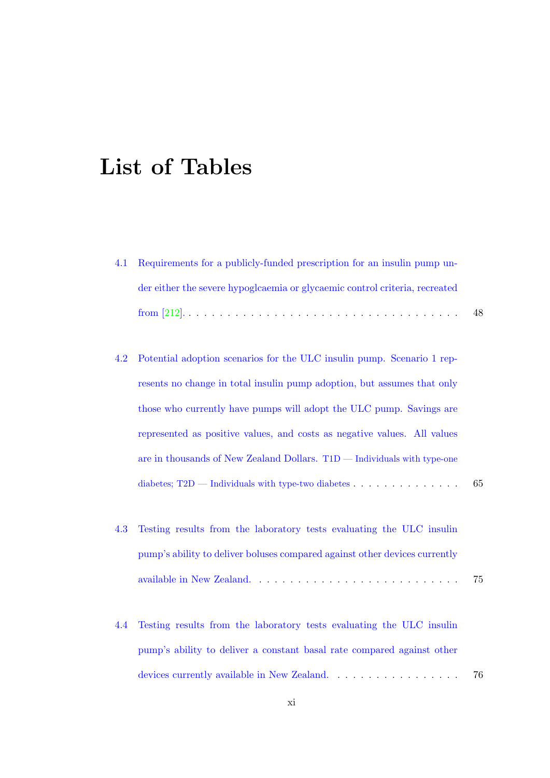## List of Tables

| 4.1 Requirements for a publicly-funded prescription for an insulin pump un- |     |
|-----------------------------------------------------------------------------|-----|
| der either the severe hypogloaemia or glycaemic control criteria, recreated |     |
|                                                                             | -48 |

- 4.2 Potential adoption scenarios for the ULC insulin pump. Scenario 1 represents no change in total insulin pump adoption, but assumes that only those who currently have pumps will adopt the ULC pump. Savings are represented as positive values, and costs as negative values. All values are in thousands of New Zealand Dollars. T1D — Individuals with type-one diabetes;  $T2D$  — Individuals with type-two diabetes  $\ldots$  . . . . . . . . . . . . . . . . 65
- 4.3 Testing results from the laboratory tests evaluating the ULC insulin pump's ability to deliver boluses compared against other devices currently available in New Zealand. . . . . . . . . . . . . . . . . . . . . . . . . . . 75
- 4.4 Testing results from the laboratory tests evaluating the ULC insulin pump's ability to deliver a constant basal rate compared against other devices currently available in New Zealand. . . . . . . . . . . . . . . . . 76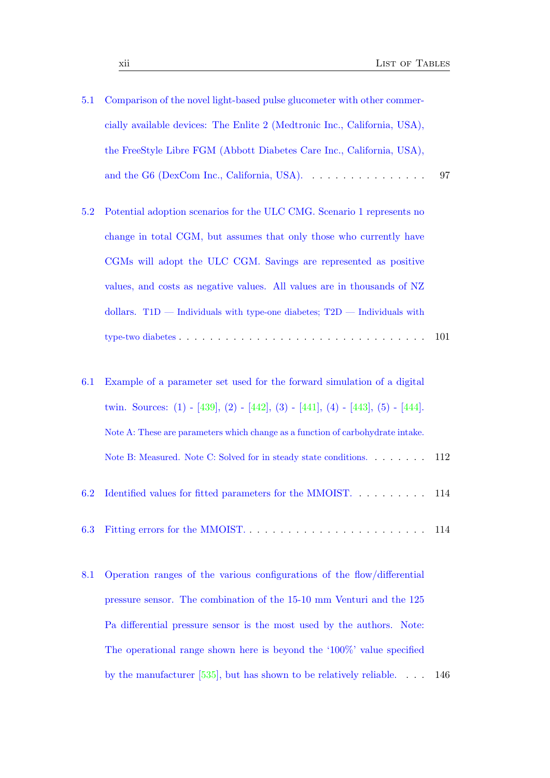- 5.1 Comparison of the novel light-based pulse glucometer with other commercially available devices: The Enlite 2 (Medtronic Inc., California, USA), the FreeStyle Libre FGM (Abbott Diabetes Care Inc., California, USA), and the G6 (DexCom Inc., California, USA). . . . . . . . . . . . . . . . . 97
- 5.2 Potential adoption scenarios for the ULC CMG. Scenario 1 represents no change in total CGM, but assumes that only those who currently have CGMs will adopt the ULC CGM. Savings are represented as positive values, and costs as negative values. All values are in thousands of NZ dollars.  $T1D$  — Individuals with type-one diabetes;  $T2D$  — Individuals with type-two diabetes . . . . . . . . . . . . . . . . . . . . . . . . . . . . . . . . 101
- 6.1 Example of a parameter set used for the forward simulation of a digital twin. Sources: (1) - [439], (2) - [442], (3) - [441], (4) - [443], (5) - [444]. Note A: These are parameters which change as a function of carbohydrate intake. Note B: Measured. Note C: Solved for in steady state conditions. . . . . . . . 112 6.2 Identified values for fitted parameters for the MMOIST. . . . . . . . . . 114
- 6.3 Fitting errors for the MMOIST. . . . . . . . . . . . . . . . . . . . . . . . 114
- 8.1 Operation ranges of the various configurations of the flow/differential pressure sensor. The combination of the 15-10 mm Venturi and the 125 Pa differential pressure sensor is the most used by the authors. Note: The operational range shown here is beyond the '100%' value specified by the manufacturer [535], but has shown to be relatively reliable. . . . 146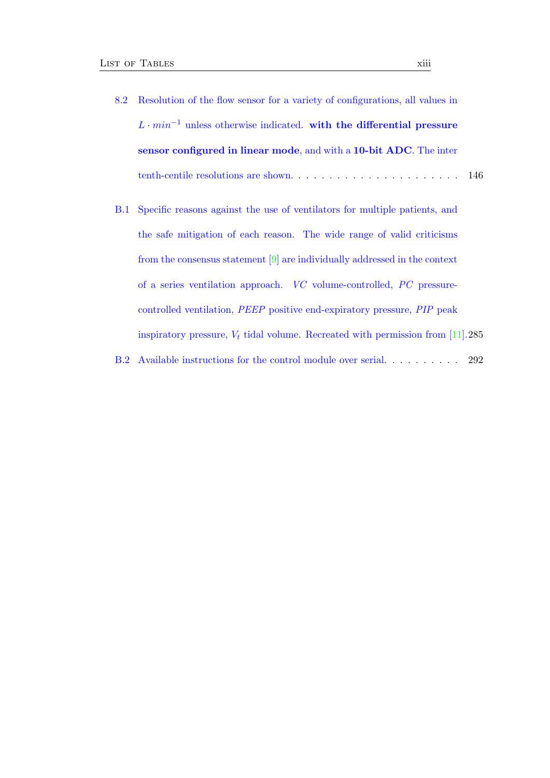- 8.2 Resolution of the flow sensor for a variety of configurations, all values in  $L \cdot min^{-1}$  unless otherwise indicated. with the differential pressure sensor configured in linear mode, and with a 10-bit ADC. The inter tenth-centile resolutions are shown. . . . . . . . . . . . . . . . . . . . . . 146
- B.1 Specific reasons against the use of ventilators for multiple patients, and the safe mitigation of each reason. The wide range of valid criticisms from the consensus statement [9] are individually addressed in the context of a series ventilation approach. VC volume-controlled, PC pressurecontrolled ventilation, PEEP positive end-expiratory pressure, PIP peak inspiratory pressure,  $V_t$  tidal volume. Recreated with permission from [11].285

B.2 Available instructions for the control module over serial. . . . . . . . . . 292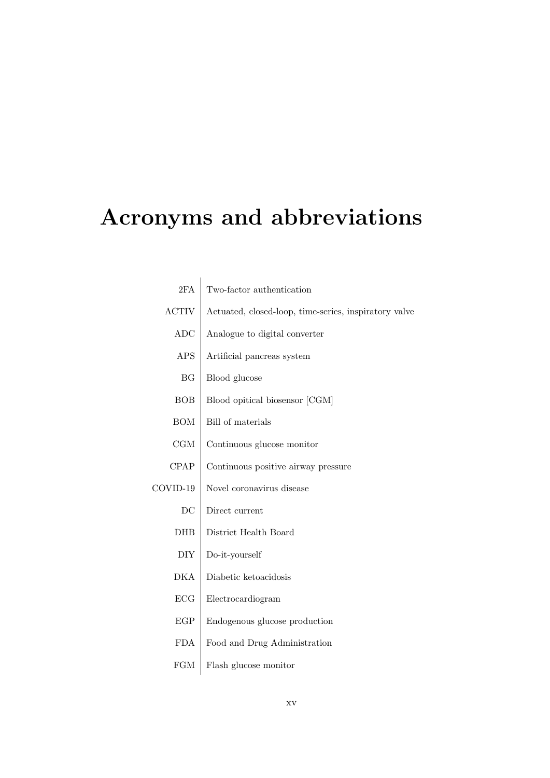# Acronyms and abbreviations

| 2FA                         | Two-factor authentication                             |
|-----------------------------|-------------------------------------------------------|
| <b>ACTIV</b>                | Actuated, closed-loop, time-series, inspiratory valve |
| ADC                         | Analogue to digital converter                         |
| <b>APS</b>                  | Artificial pancreas system                            |
| BG                          | Blood glucose                                         |
| <b>BOB</b>                  | Blood opitical biosensor [CGM]                        |
| <b>BOM</b>                  | <b>Bill</b> of materials                              |
| CGM                         | Continuous glucose monitor                            |
| <b>CPAP</b>                 | Continuous positive airway pressure                   |
| COVID-19                    | Novel coronavirus disease                             |
| $\operatorname{DC}$         | Direct current                                        |
| <b>DHB</b>                  | District Health Board                                 |
| DIY                         | Do-it-yourself                                        |
| <b>DKA</b>                  | Diabetic ketoacidosis                                 |
| ECG                         | Electrocardiogram                                     |
| $\ensuremath{\mathrm{EGP}}$ | Endogenous glucose production                         |
| <b>FDA</b>                  | Food and Drug Administration                          |
| FGM                         | Flash glucose monitor                                 |
|                             |                                                       |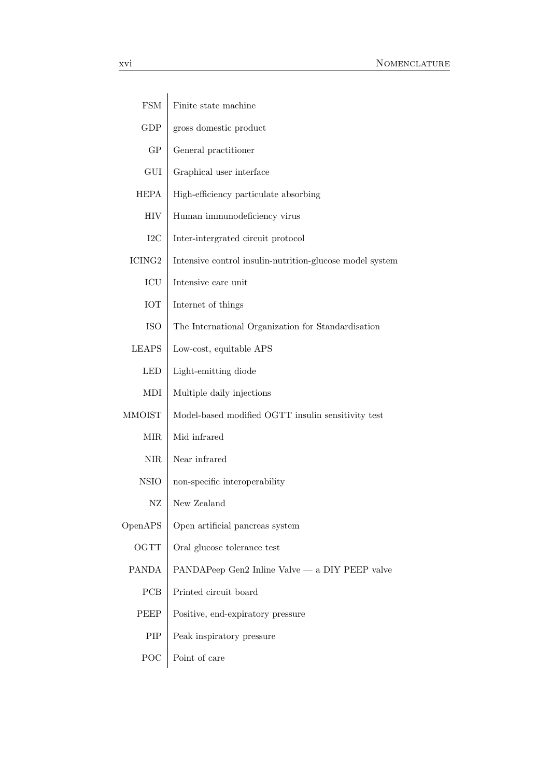| <b>FSM</b>           | Finite state machine                                     |
|----------------------|----------------------------------------------------------|
| <b>GDP</b>           | gross domestic product                                   |
| GP                   | General practitioner                                     |
| GUI                  | Graphical user interface                                 |
| <b>HEPA</b>          | High-efficiency particulate absorbing                    |
| HIV                  | Human immunodeficiency virus                             |
| I2C                  | Inter-intergrated circuit protocol                       |
| ICING <sub>2</sub>   | Intensive control insulin-nutrition-glucose model system |
| ICU                  | Intensive care unit                                      |
| <b>IOT</b>           | Internet of things                                       |
| <b>ISO</b>           | The International Organization for Standardisation       |
| <b>LEAPS</b>         | Low-cost, equitable APS                                  |
| <b>LED</b>           | Light-emitting diode                                     |
| MDI                  | Multiple daily injections                                |
| <b>MMOIST</b>        | Model-based modified OGTT insulin sensitivity test       |
| $\operatorname{MIR}$ | Mid infrared                                             |
| $\rm{NIR}$           | Near infrared                                            |
| <b>NSIO</b>          | non-specific interoperability                            |
| $\rm{NZ}$            | New Zealand                                              |
| OpenAPS              | Open artificial pancreas system                          |
| <b>OGTT</b>          | Oral glucose tolerance test                              |
| <b>PANDA</b>         | PANDAPeep Gen2 Inline Valve — a DIY PEEP valve           |
| PCB                  | Printed circuit board                                    |
| PEEP                 | Positive, end-expiratory pressure                        |
| PIP                  | Peak inspiratory pressure                                |
| POC                  | Point of care                                            |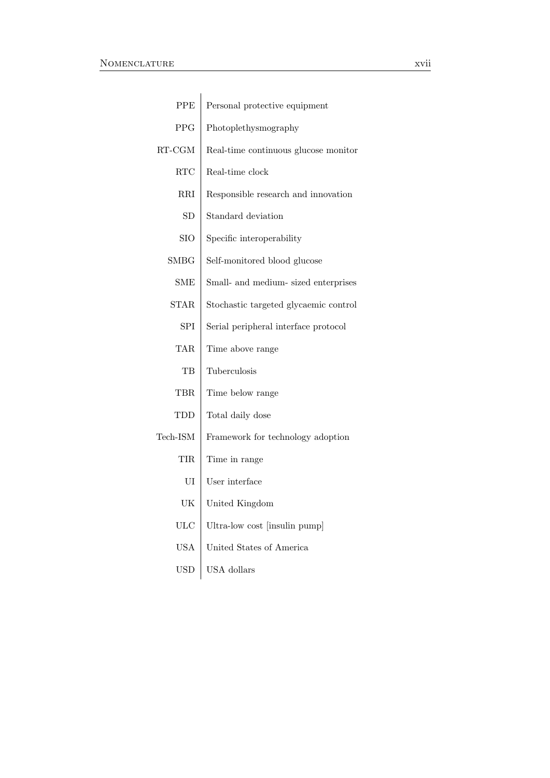| PPE                     | Personal protective equipment         |
|-------------------------|---------------------------------------|
| <b>PPG</b>              | Photoplethysmography                  |
| $\operatorname{RT-CGM}$ | Real-time continuous glucose monitor  |
| RTC                     | Real-time clock                       |
| RRI                     | Responsible research and innovation   |
| <b>SD</b>               | Standard deviation                    |
| <b>SIO</b>              | Specific interoperability             |
| $_{\rm SMBG}$           | Self-monitored blood glucose          |
| <b>SME</b>              | Small- and medium- sized enterprises  |
| <b>STAR</b>             | Stochastic targeted glycaemic control |
| <b>SPI</b>              | Serial peripheral interface protocol  |
| <b>TAR</b>              | Time above range                      |
| TВ                      | Tuberculosis                          |
| TBR                     | Time below range                      |
| TDD                     | Total daily dose                      |
| Tech-ISM                | Framework for technology adoption     |
| TIR                     | Time in range                         |
| UI                      | User interface                        |
| UK                      | United Kingdom                        |
| <b>ULC</b>              | Ultra-low cost [insulin pump]         |
| <b>USA</b>              | United States of America              |
| <b>USD</b>              | USA dollars                           |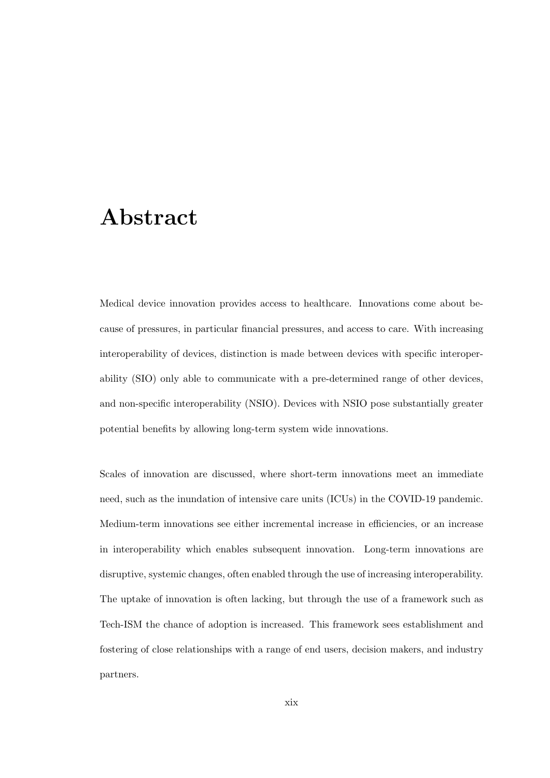#### Abstract

Medical device innovation provides access to healthcare. Innovations come about because of pressures, in particular financial pressures, and access to care. With increasing interoperability of devices, distinction is made between devices with specific interoperability (SIO) only able to communicate with a pre-determined range of other devices, and non-specific interoperability (NSIO). Devices with NSIO pose substantially greater potential benefits by allowing long-term system wide innovations.

Scales of innovation are discussed, where short-term innovations meet an immediate need, such as the inundation of intensive care units (ICUs) in the COVID-19 pandemic. Medium-term innovations see either incremental increase in efficiencies, or an increase in interoperability which enables subsequent innovation. Long-term innovations are disruptive, systemic changes, often enabled through the use of increasing interoperability. The uptake of innovation is often lacking, but through the use of a framework such as Tech-ISM the chance of adoption is increased. This framework sees establishment and fostering of close relationships with a range of end users, decision makers, and industry partners.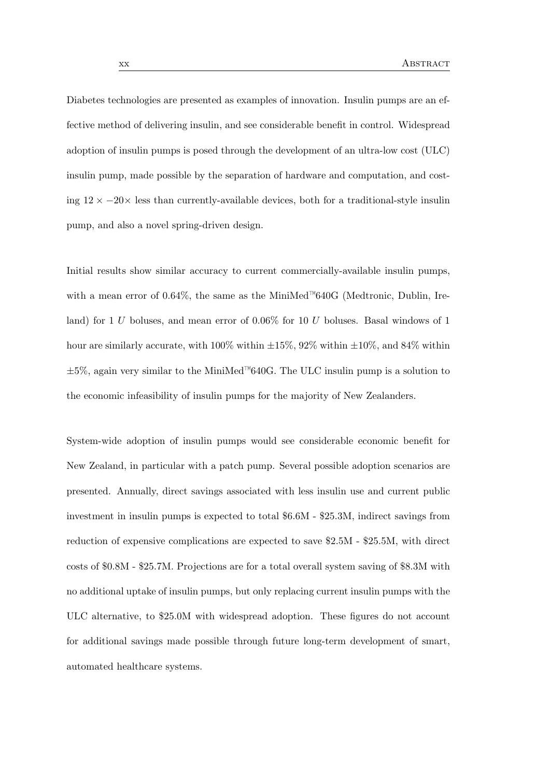Diabetes technologies are presented as examples of innovation. Insulin pumps are an effective method of delivering insulin, and see considerable benefit in control. Widespread adoption of insulin pumps is posed through the development of an ultra-low cost (ULC) insulin pump, made possible by the separation of hardware and computation, and costing  $12 \times -20 \times$  less than currently-available devices, both for a traditional-style insulin pump, and also a novel spring-driven design.

Initial results show similar accuracy to current commercially-available insulin pumps, with a mean error of 0.64%, the same as the MiniMed™640G (Medtronic, Dublin, Ireland) for 1 U boluses, and mean error of 0.06% for 10 U boluses. Basal windows of 1 hour are similarly accurate, with  $100\%$  within  $\pm 15\%$ , 92% within  $\pm 10\%$ , and 84% within  $\pm 5\%$ , again very similar to the MiniMed™640G. The ULC insulin pump is a solution to the economic infeasibility of insulin pumps for the majority of New Zealanders.

System-wide adoption of insulin pumps would see considerable economic benefit for New Zealand, in particular with a patch pump. Several possible adoption scenarios are presented. Annually, direct savings associated with less insulin use and current public investment in insulin pumps is expected to total \$6.6M - \$25.3M, indirect savings from reduction of expensive complications are expected to save \$2.5M - \$25.5M, with direct costs of \$0.8M - \$25.7M. Projections are for a total overall system saving of \$8.3M with no additional uptake of insulin pumps, but only replacing current insulin pumps with the ULC alternative, to \$25.0M with widespread adoption. These figures do not account for additional savings made possible through future long-term development of smart, automated healthcare systems.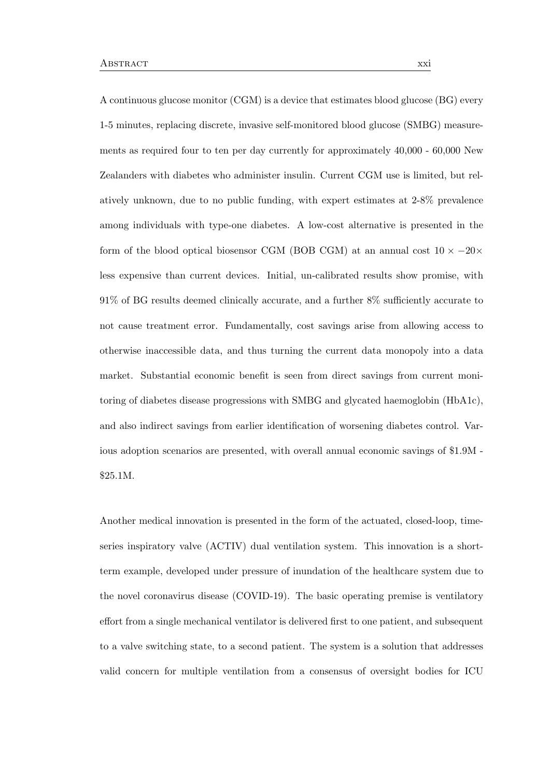A continuous glucose monitor (CGM) is a device that estimates blood glucose (BG) every 1-5 minutes, replacing discrete, invasive self-monitored blood glucose (SMBG) measurements as required four to ten per day currently for approximately 40,000 - 60,000 New Zealanders with diabetes who administer insulin. Current CGM use is limited, but relatively unknown, due to no public funding, with expert estimates at 2-8% prevalence among individuals with type-one diabetes. A low-cost alternative is presented in the form of the blood optical biosensor CGM (BOB CGM) at an annual cost  $10 \times -20 \times$ less expensive than current devices. Initial, un-calibrated results show promise, with 91% of BG results deemed clinically accurate, and a further 8% sufficiently accurate to not cause treatment error. Fundamentally, cost savings arise from allowing access to otherwise inaccessible data, and thus turning the current data monopoly into a data market. Substantial economic benefit is seen from direct savings from current monitoring of diabetes disease progressions with SMBG and glycated haemoglobin (HbA1c), and also indirect savings from earlier identification of worsening diabetes control. Various adoption scenarios are presented, with overall annual economic savings of \$1.9M - \$25.1M.

Another medical innovation is presented in the form of the actuated, closed-loop, timeseries inspiratory valve (ACTIV) dual ventilation system. This innovation is a shortterm example, developed under pressure of inundation of the healthcare system due to the novel coronavirus disease (COVID-19). The basic operating premise is ventilatory effort from a single mechanical ventilator is delivered first to one patient, and subsequent to a valve switching state, to a second patient. The system is a solution that addresses valid concern for multiple ventilation from a consensus of oversight bodies for ICU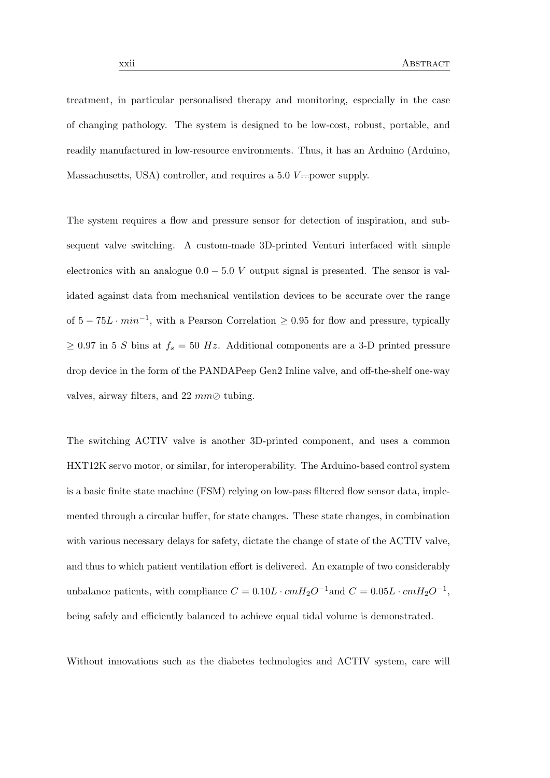treatment, in particular personalised therapy and monitoring, especially in the case of changing pathology. The system is designed to be low-cost, robust, portable, and readily manufactured in low-resource environments. Thus, it has an Arduino (Arduino, Massachusetts, USA) controller, and requires a 5.0  $V =$  power supply.

The system requires a flow and pressure sensor for detection of inspiration, and subsequent valve switching. A custom-made 3D-printed Venturi interfaced with simple electronics with an analogue  $0.0 - 5.0 V$  output signal is presented. The sensor is validated against data from mechanical ventilation devices to be accurate over the range of  $5 - 75L \cdot min^{-1}$ , with a Pearson Correlation  $\geq 0.95$  for flow and pressure, typically  $\geq 0.97$  in 5 S bins at  $f_s = 50$  Hz. Additional components are a 3-D printed pressure drop device in the form of the PANDAPeep Gen2 Inline valve, and off-the-shelf one-way valves, airway filters, and 22  $mm\odot$  tubing.

The switching ACTIV valve is another 3D-printed component, and uses a common HXT12K servo motor, or similar, for interoperability. The Arduino-based control system is a basic finite state machine (FSM) relying on low-pass filtered flow sensor data, implemented through a circular buffer, for state changes. These state changes, in combination with various necessary delays for safety, dictate the change of state of the ACTIV valve, and thus to which patient ventilation effort is delivered. An example of two considerably unbalance patients, with compliance  $C = 0.10L \cdot cmH_2O^{-1}$  and  $C = 0.05L \cdot cmH_2O^{-1}$ , being safely and efficiently balanced to achieve equal tidal volume is demonstrated.

Without innovations such as the diabetes technologies and ACTIV system, care will